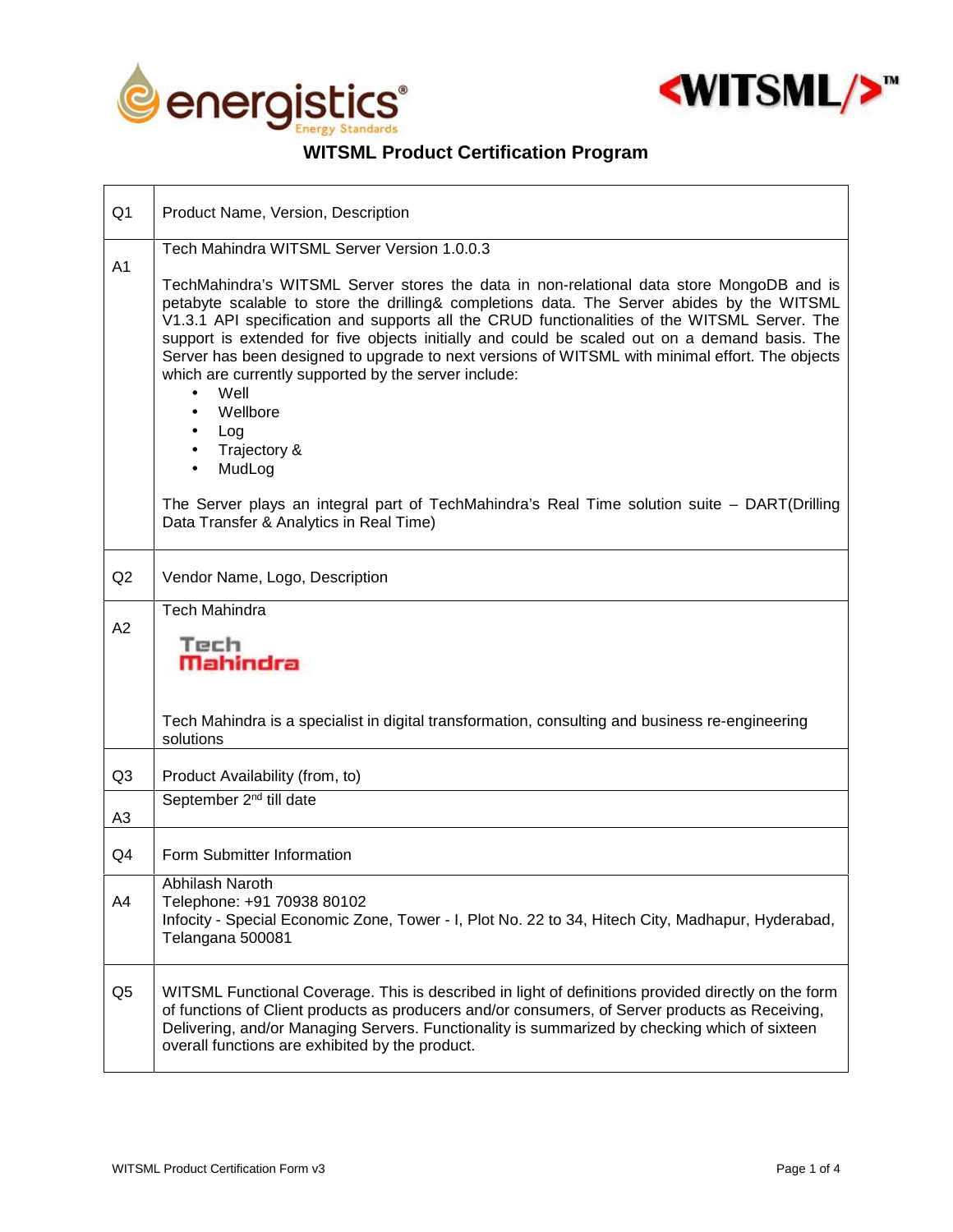

 $\Gamma$ 

┱



 $\overline{\phantom{a}}$ 

## **WITSML Product Certification Program**

| Q <sub>1</sub> | Product Name, Version, Description                                                                                                                                                                                                                                                                                                                                                                                                                                                                                                                                                                                                                                                                                                                              |  |
|----------------|-----------------------------------------------------------------------------------------------------------------------------------------------------------------------------------------------------------------------------------------------------------------------------------------------------------------------------------------------------------------------------------------------------------------------------------------------------------------------------------------------------------------------------------------------------------------------------------------------------------------------------------------------------------------------------------------------------------------------------------------------------------------|--|
| A1             | Tech Mahindra WITSML Server Version 1.0.0.3                                                                                                                                                                                                                                                                                                                                                                                                                                                                                                                                                                                                                                                                                                                     |  |
|                | TechMahindra's WITSML Server stores the data in non-relational data store MongoDB and is<br>petabyte scalable to store the drilling& completions data. The Server abides by the WITSML<br>V1.3.1 API specification and supports all the CRUD functionalities of the WITSML Server. The<br>support is extended for five objects initially and could be scaled out on a demand basis. The<br>Server has been designed to upgrade to next versions of WITSML with minimal effort. The objects<br>which are currently supported by the server include:<br>Well<br>$\bullet$<br>Wellbore<br>Log<br>Trajectory &<br>MudLog<br>The Server plays an integral part of TechMahindra's Real Time solution suite - DART(Drilling<br>Data Transfer & Analytics in Real Time) |  |
| Q2             | Vendor Name, Logo, Description                                                                                                                                                                                                                                                                                                                                                                                                                                                                                                                                                                                                                                                                                                                                  |  |
| A2             | <b>Tech Mahindra</b><br>Tech<br><b>Mahindra</b><br>Tech Mahindra is a specialist in digital transformation, consulting and business re-engineering<br>solutions                                                                                                                                                                                                                                                                                                                                                                                                                                                                                                                                                                                                 |  |
| Q <sub>3</sub> | Product Availability (from, to)                                                                                                                                                                                                                                                                                                                                                                                                                                                                                                                                                                                                                                                                                                                                 |  |
| A <sub>3</sub> | September 2 <sup>nd</sup> till date                                                                                                                                                                                                                                                                                                                                                                                                                                                                                                                                                                                                                                                                                                                             |  |
| Q4             | Form Submitter Information                                                                                                                                                                                                                                                                                                                                                                                                                                                                                                                                                                                                                                                                                                                                      |  |
| A4             | Abhilash Naroth<br>Telephone: +91 70938 80102<br>Infocity - Special Economic Zone, Tower - I, Plot No. 22 to 34, Hitech City, Madhapur, Hyderabad,<br>Telangana 500081                                                                                                                                                                                                                                                                                                                                                                                                                                                                                                                                                                                          |  |
| Q <sub>5</sub> | WITSML Functional Coverage. This is described in light of definitions provided directly on the form<br>of functions of Client products as producers and/or consumers, of Server products as Receiving,<br>Delivering, and/or Managing Servers. Functionality is summarized by checking which of sixteen<br>overall functions are exhibited by the product.                                                                                                                                                                                                                                                                                                                                                                                                      |  |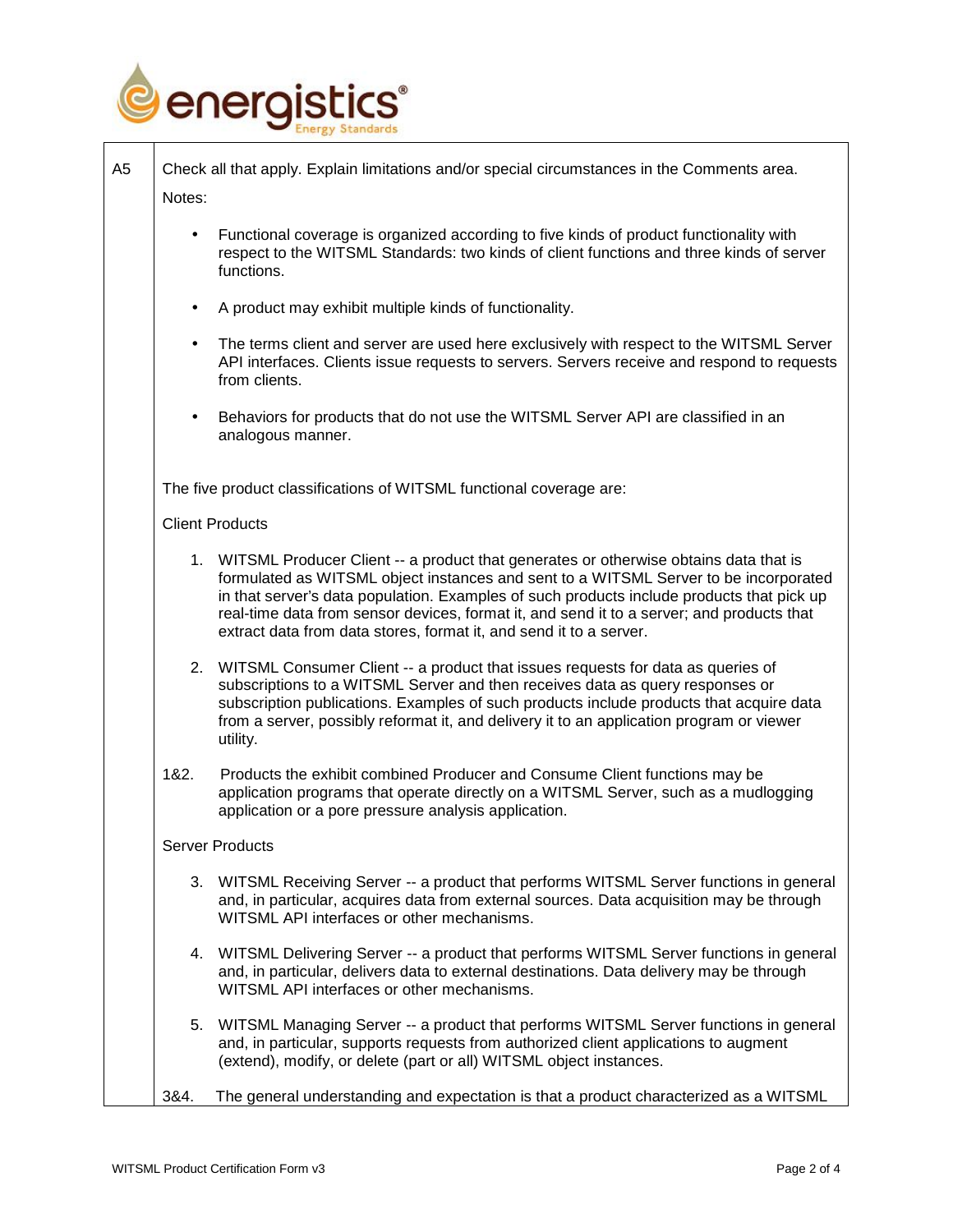

| A <sub>5</sub> | Check all that apply. Explain limitations and/or special circumstances in the Comments area.                                                                                                                                                                                                                                                                                                                                                    |
|----------------|-------------------------------------------------------------------------------------------------------------------------------------------------------------------------------------------------------------------------------------------------------------------------------------------------------------------------------------------------------------------------------------------------------------------------------------------------|
| Notes:         |                                                                                                                                                                                                                                                                                                                                                                                                                                                 |
|                | Functional coverage is organized according to five kinds of product functionality with<br>respect to the WITSML Standards: two kinds of client functions and three kinds of server<br>functions.                                                                                                                                                                                                                                                |
| $\bullet$      | A product may exhibit multiple kinds of functionality.                                                                                                                                                                                                                                                                                                                                                                                          |
| $\bullet$      | The terms client and server are used here exclusively with respect to the WITSML Server<br>API interfaces. Clients issue requests to servers. Servers receive and respond to requests<br>from clients.                                                                                                                                                                                                                                          |
| $\bullet$      | Behaviors for products that do not use the WITSML Server API are classified in an<br>analogous manner.                                                                                                                                                                                                                                                                                                                                          |
|                | The five product classifications of WITSML functional coverage are:                                                                                                                                                                                                                                                                                                                                                                             |
|                | <b>Client Products</b>                                                                                                                                                                                                                                                                                                                                                                                                                          |
|                | 1. WITSML Producer Client -- a product that generates or otherwise obtains data that is<br>formulated as WITSML object instances and sent to a WITSML Server to be incorporated<br>in that server's data population. Examples of such products include products that pick up<br>real-time data from sensor devices, format it, and send it to a server; and products that<br>extract data from data stores, format it, and send it to a server. |
|                | 2. WITSML Consumer Client -- a product that issues requests for data as queries of<br>subscriptions to a WITSML Server and then receives data as query responses or<br>subscription publications. Examples of such products include products that acquire data<br>from a server, possibly reformat it, and delivery it to an application program or viewer<br>utility.                                                                          |
| 1&2.           | Products the exhibit combined Producer and Consume Client functions may be<br>application programs that operate directly on a WITSML Server, such as a mudlogging<br>application or a pore pressure analysis application.                                                                                                                                                                                                                       |
|                | <b>Server Products</b>                                                                                                                                                                                                                                                                                                                                                                                                                          |
|                | 3. WITSML Receiving Server -- a product that performs WITSML Server functions in general<br>and, in particular, acquires data from external sources. Data acquisition may be through<br>WITSML API interfaces or other mechanisms.                                                                                                                                                                                                              |
|                | 4. WITSML Delivering Server -- a product that performs WITSML Server functions in general<br>and, in particular, delivers data to external destinations. Data delivery may be through<br>WITSML API interfaces or other mechanisms.                                                                                                                                                                                                             |
|                | 5. WITSML Managing Server -- a product that performs WITSML Server functions in general<br>and, in particular, supports requests from authorized client applications to augment<br>(extend), modify, or delete (part or all) WITSML object instances.                                                                                                                                                                                           |
| 3&4.           | The general understanding and expectation is that a product characterized as a WITSML                                                                                                                                                                                                                                                                                                                                                           |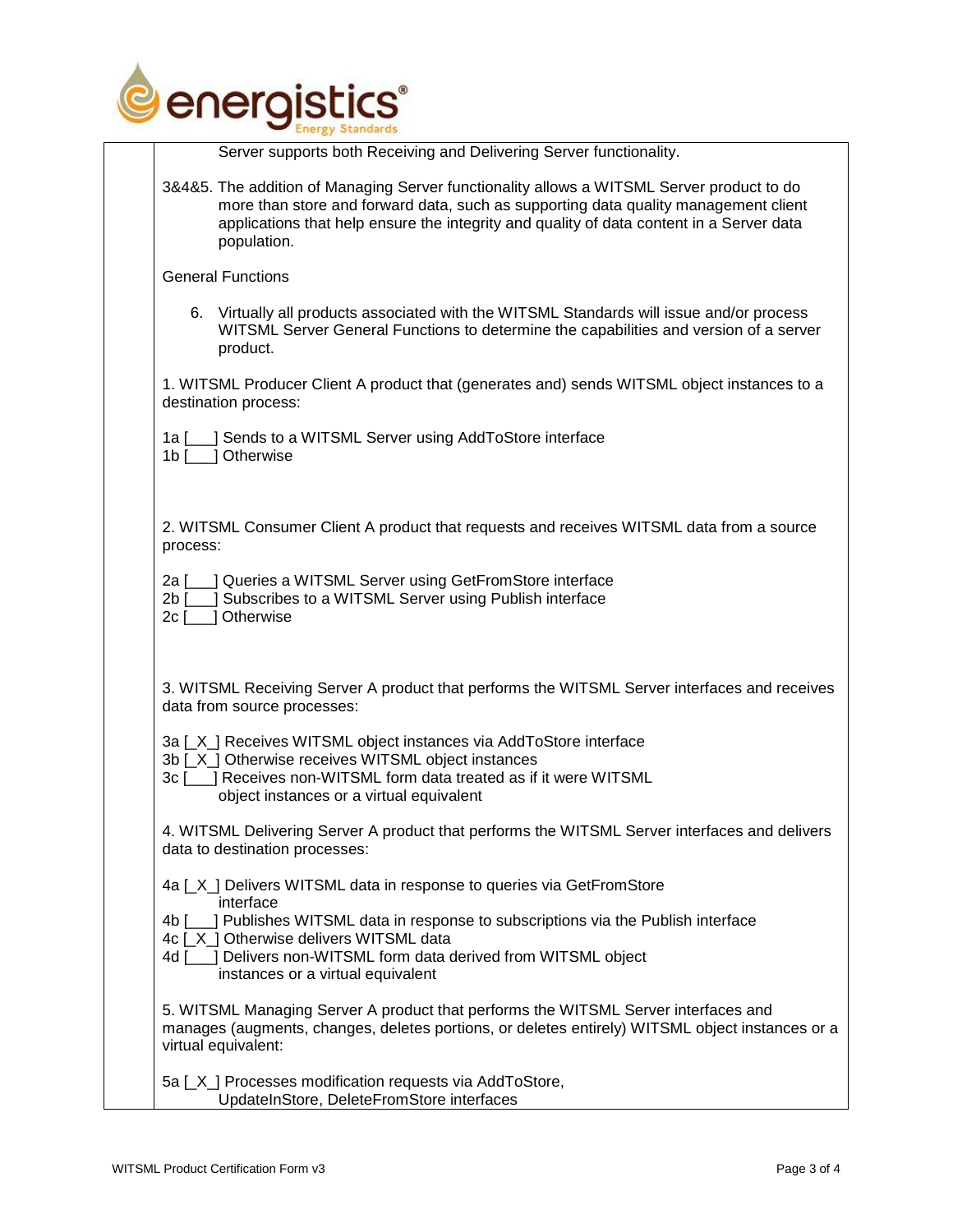

|                          | <b>Energy Standards</b>                                                                                                                                                                                                                                                                     |
|--------------------------|---------------------------------------------------------------------------------------------------------------------------------------------------------------------------------------------------------------------------------------------------------------------------------------------|
|                          | Server supports both Receiving and Delivering Server functionality.                                                                                                                                                                                                                         |
|                          | 3&4&5. The addition of Managing Server functionality allows a WITSML Server product to do<br>more than store and forward data, such as supporting data quality management client<br>applications that help ensure the integrity and quality of data content in a Server data<br>population. |
|                          | <b>General Functions</b>                                                                                                                                                                                                                                                                    |
|                          | 6. Virtually all products associated with the WITSML Standards will issue and/or process<br>WITSML Server General Functions to determine the capabilities and version of a server<br>product.                                                                                               |
|                          | 1. WITSML Producer Client A product that (generates and) sends WITSML object instances to a<br>destination process:                                                                                                                                                                         |
| 1a [<br>1b [             | ] Sends to a WITSML Server using AddToStore interface<br>1 Otherwise                                                                                                                                                                                                                        |
| process:                 | 2. WITSML Consumer Client A product that requests and receives WITSML data from a source                                                                                                                                                                                                    |
| 2a I<br>$2b$ [<br>$2c$ [ | ] Queries a WITSML Server using GetFromStore interface<br>Subscribes to a WITSML Server using Publish interface<br>Otherwise                                                                                                                                                                |
|                          | 3. WITSML Receiving Server A product that performs the WITSML Server interfaces and receives<br>data from source processes:                                                                                                                                                                 |
|                          | 3a [X] Receives WITSML object instances via AddToStore interface                                                                                                                                                                                                                            |
|                          | 3b [_X_] Otherwise receives WITSML object instances<br>3c [___] Receives non-WITSML form data treated as if it were WITSML<br>object instances or a virtual equivalent                                                                                                                      |
|                          | 4. WITSML Delivering Server A product that performs the WITSML Server interfaces and delivers<br>data to destination processes:                                                                                                                                                             |
|                          | 4a [X] Delivers WITSML data in response to queries via GetFromStore<br>interface                                                                                                                                                                                                            |
|                          | 4b [100] Publishes WITSML data in response to subscriptions via the Publish interface<br>4c [X] Otherwise delivers WITSML data                                                                                                                                                              |
| 4d I                     | ] Delivers non-WITSML form data derived from WITSML object<br>instances or a virtual equivalent                                                                                                                                                                                             |
|                          | 5. WITSML Managing Server A product that performs the WITSML Server interfaces and<br>manages (augments, changes, deletes portions, or deletes entirely) WITSML object instances or a<br>virtual equivalent:                                                                                |
|                          | 5a [X] Processes modification requests via AddToStore,<br>UpdateInStore, DeleteFromStore interfaces                                                                                                                                                                                         |